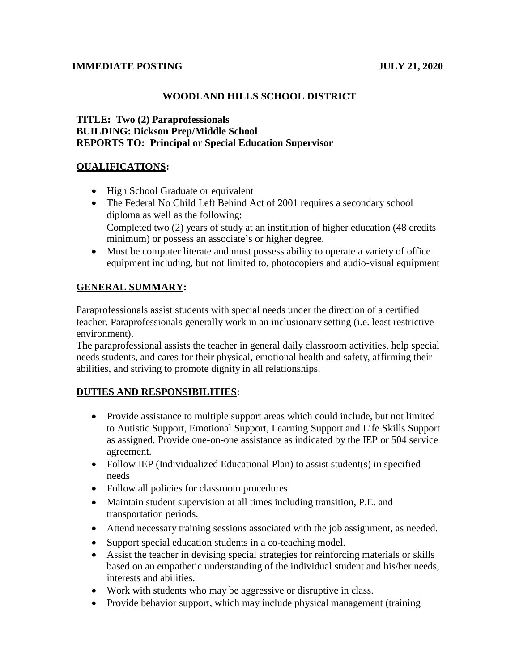### **IMMEDIATE POSTING JULY 21, 2020**

# **WOODLAND HILLS SCHOOL DISTRICT**

# **TITLE: Two (2) Paraprofessionals BUILDING: Dickson Prep/Middle School REPORTS TO: Principal or Special Education Supervisor**

### **QUALIFICATIONS:**

- High School Graduate or equivalent
- The Federal No Child Left Behind Act of 2001 requires a secondary school diploma as well as the following: Completed two (2) years of study at an institution of higher education (48 credits minimum) or possess an associate's or higher degree.
- Must be computer literate and must possess ability to operate a variety of office equipment including, but not limited to, photocopiers and audio-visual equipment

# **GENERAL SUMMARY:**

Paraprofessionals assist students with special needs under the direction of a certified teacher. Paraprofessionals generally work in an inclusionary setting (i.e. least restrictive environment).

The paraprofessional assists the teacher in general daily classroom activities, help special needs students, and cares for their physical, emotional health and safety, affirming their abilities, and striving to promote dignity in all relationships.

### **DUTIES AND RESPONSIBILITIES**:

- Provide assistance to multiple support areas which could include, but not limited to Autistic Support, Emotional Support, Learning Support and Life Skills Support as assigned. Provide one-on-one assistance as indicated by the IEP or 504 service agreement.
- Follow IEP (Individualized Educational Plan) to assist student(s) in specified needs
- Follow all policies for classroom procedures.
- Maintain student supervision at all times including transition, P.E. and transportation periods.
- Attend necessary training sessions associated with the job assignment, as needed.
- Support special education students in a co-teaching model.
- Assist the teacher in devising special strategies for reinforcing materials or skills based on an empathetic understanding of the individual student and his/her needs, interests and abilities.
- Work with students who may be aggressive or disruptive in class.
- Provide behavior support, which may include physical management (training